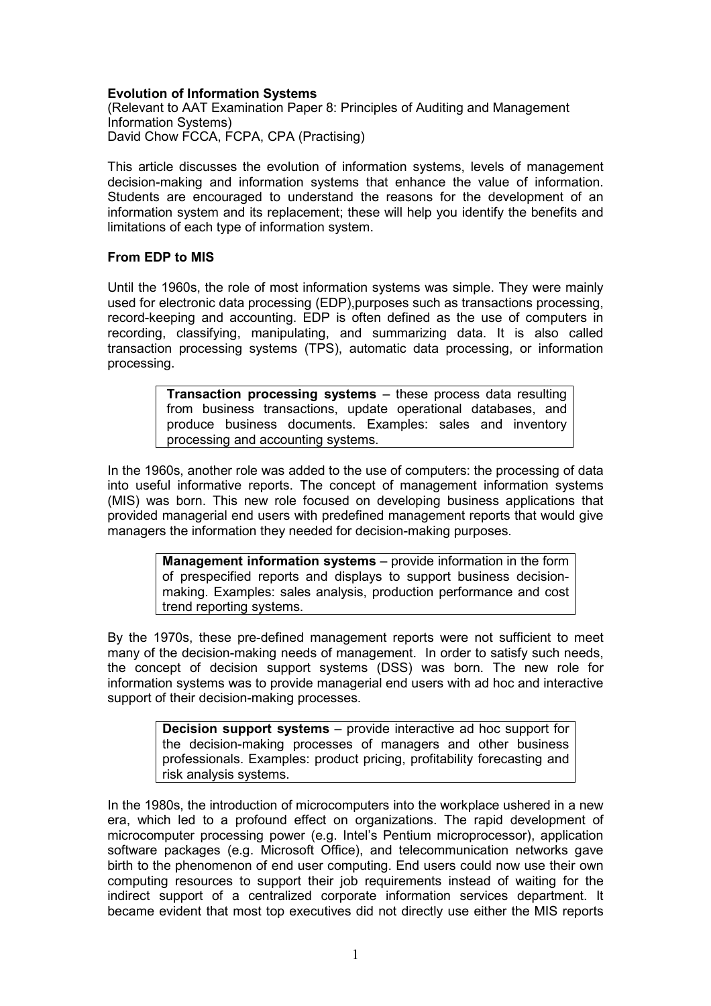# Evolution of Information Systems

(Relevant to AAT Examination Paper 8: Principles of Auditing and Management Information Systems) David Chow FCCA, FCPA, CPA (Practising)

This article discusses the evolution of information systems, levels of management decision-making and information systems that enhance the value of information. Students are encouraged to understand the reasons for the development of an information system and its replacement; these will help you identify the benefits and limitations of each type of information system.

## From EDP to MIS

Until the 1960s, the role of most information systems was simple. They were mainly used for electronic data processing (EDP),purposes such as transactions processing, record-keeping and accounting. EDP is often defined as the use of computers in recording, classifying, manipulating, and summarizing data. It is also called transaction processing systems (TPS), automatic data processing, or information processing.

> Transaction processing systems – these process data resulting from business transactions, update operational databases, and produce business documents. Examples: sales and inventory processing and accounting systems.

In the 1960s, another role was added to the use of computers: the processing of data into useful informative reports. The concept of management information systems (MIS) was born. This new role focused on developing business applications that provided managerial end users with predefined management reports that would give managers the information they needed for decision-making purposes.

> Management information systems – provide information in the form of prespecified reports and displays to support business decisionmaking. Examples: sales analysis, production performance and cost trend reporting systems.

By the 1970s, these pre-defined management reports were not sufficient to meet many of the decision-making needs of management. In order to satisfy such needs, the concept of decision support systems (DSS) was born. The new role for information systems was to provide managerial end users with ad hoc and interactive support of their decision-making processes.

> Decision support systems – provide interactive ad hoc support for the decision-making processes of managers and other business professionals. Examples: product pricing, profitability forecasting and risk analysis systems.

In the 1980s, the introduction of microcomputers into the workplace ushered in a new era, which led to a profound effect on organizations. The rapid development of microcomputer processing power (e.g. Intel's Pentium microprocessor), application software packages (e.g. Microsoft Office), and telecommunication networks gave birth to the phenomenon of end user computing. End users could now use their own computing resources to support their job requirements instead of waiting for the indirect support of a centralized corporate information services department. It became evident that most top executives did not directly use either the MIS reports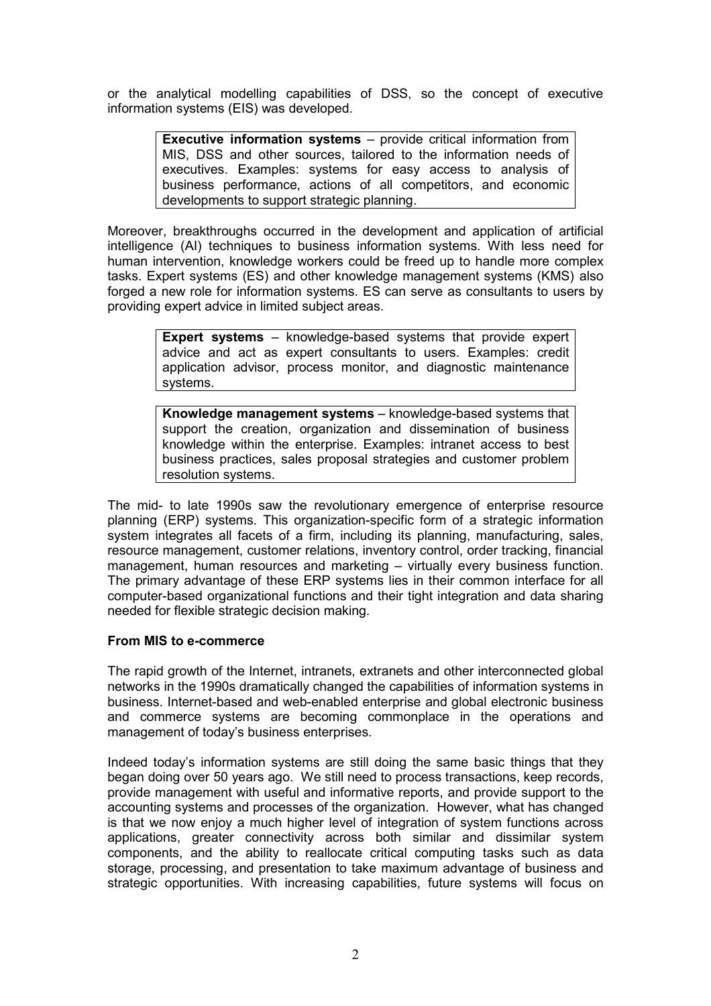or the analytical modelling capabilities of DSS, so the concept of executive information systems (EIS) was developed.

> Executive information systems – provide critical information from MIS, DSS and other sources, tailored to the information needs of executives. Examples: systems for easy access to analysis of business performance, actions of all competitors, and economic developments to support strategic planning.

Moreover, breakthroughs occurred in the development and application of artificial intelligence (AI) techniques to business information systems. With less need for human intervention, knowledge workers could be freed up to handle more complex tasks. Expert systems (ES) and other knowledge management systems (KMS) also forged a new role for information systems. ES can serve as consultants to users by providing expert advice in limited subject areas.

> Expert systems – knowledge-based systems that provide expert advice and act as expert consultants to users. Examples: credit application advisor, process monitor, and diagnostic maintenance systems.

> Knowledge management systems – knowledge-based systems that support the creation, organization and dissemination of business knowledge within the enterprise. Examples: intranet access to best business practices, sales proposal strategies and customer problem resolution systems.

The mid- to late 1990s saw the revolutionary emergence of enterprise resource planning (ERP) systems. This organization-specific form of a strategic information system integrates all facets of a firm, including its planning, manufacturing, sales, resource management, customer relations, inventory control, order tracking, financial management, human resources and marketing – virtually every business function. The primary advantage of these ERP systems lies in their common interface for all computer-based organizational functions and their tight integration and data sharing needed for flexible strategic decision making.

# From MIS to e-commerce

The rapid growth of the Internet, intranets, extranets and other interconnected global networks in the 1990s dramatically changed the capabilities of information systems in business. Internet-based and web-enabled enterprise and global electronic business and commerce systems are becoming commonplace in the operations and management of today's business enterprises.

Indeed today's information systems are still doing the same basic things that they began doing over 50 years ago. We still need to process transactions, keep records, provide management with useful and informative reports, and provide support to the accounting systems and processes of the organization. However, what has changed is that we now enjoy a much higher level of integration of system functions across applications, greater connectivity across both similar and dissimilar system components, and the ability to reallocate critical computing tasks such as data storage, processing, and presentation to take maximum advantage of business and strategic opportunities. With increasing capabilities, future systems will focus on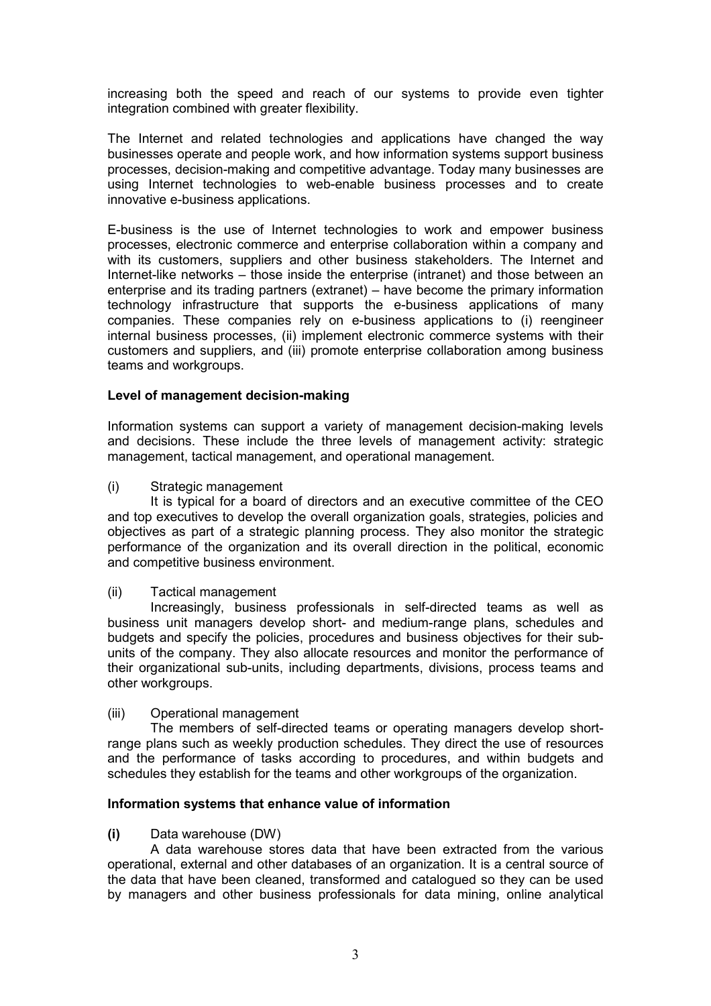increasing both the speed and reach of our systems to provide even tighter integration combined with greater flexibility.

The Internet and related technologies and applications have changed the way businesses operate and people work, and how information systems support business processes, decision-making and competitive advantage. Today many businesses are using Internet technologies to web-enable business processes and to create innovative e-business applications.

E-business is the use of Internet technologies to work and empower business processes, electronic commerce and enterprise collaboration within a company and with its customers, suppliers and other business stakeholders. The Internet and Internet-like networks – those inside the enterprise (intranet) and those between an enterprise and its trading partners (extranet) – have become the primary information technology infrastructure that supports the e-business applications of many companies. These companies rely on e-business applications to (i) reengineer internal business processes, (ii) implement electronic commerce systems with their customers and suppliers, and (iii) promote enterprise collaboration among business teams and workgroups.

## Level of management decision-making

Information systems can support a variety of management decision-making levels and decisions. These include the three levels of management activity: strategic management, tactical management, and operational management.

#### (i) Strategic management

 It is typical for a board of directors and an executive committee of the CEO and top executives to develop the overall organization goals, strategies, policies and objectives as part of a strategic planning process. They also monitor the strategic performance of the organization and its overall direction in the political, economic and competitive business environment.

#### (ii) Tactical management

 Increasingly, business professionals in self-directed teams as well as business unit managers develop short- and medium-range plans, schedules and budgets and specify the policies, procedures and business objectives for their subunits of the company. They also allocate resources and monitor the performance of their organizational sub-units, including departments, divisions, process teams and other workgroups.

#### (iii) Operational management

 The members of self-directed teams or operating managers develop shortrange plans such as weekly production schedules. They direct the use of resources and the performance of tasks according to procedures, and within budgets and schedules they establish for the teams and other workgroups of the organization.

#### Information systems that enhance value of information

#### (i) Data warehouse (DW)

 A data warehouse stores data that have been extracted from the various operational, external and other databases of an organization. It is a central source of the data that have been cleaned, transformed and catalogued so they can be used by managers and other business professionals for data mining, online analytical